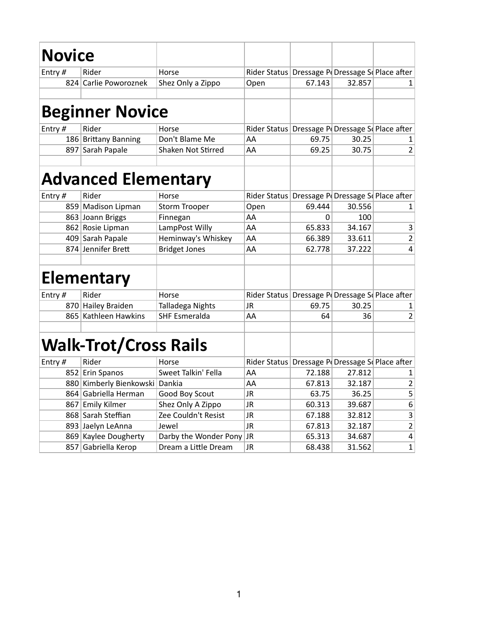| <b>Novice</b> |                                |                          |                                                      |        |                                   |                         |
|---------------|--------------------------------|--------------------------|------------------------------------------------------|--------|-----------------------------------|-------------------------|
|               |                                |                          |                                                      |        |                                   |                         |
| Entry#        | Rider                          | Horse                    | Rider Status Dressage P Dressage S Place after       |        |                                   |                         |
|               | 824 Carlie Poworoznek          | Shez Only a Zippo        | Open                                                 | 67.143 | 32.857                            | 1                       |
|               | <b>Beginner Novice</b>         |                          |                                                      |        |                                   |                         |
| Entry #       | Rider                          | Horse                    | Rider Status Dressage P Dressage S Place after       |        |                                   |                         |
|               | 186 Brittany Banning           | Don't Blame Me           | AA                                                   | 69.75  | 30.25                             | 1                       |
| 897           | Sarah Papale                   | Shaken Not Stirred       | AA                                                   | 69.25  | 30.75                             | 2                       |
|               | <b>Advanced Elementary</b>     |                          |                                                      |        |                                   |                         |
| Entry#        | Rider                          | Horse                    | Rider Status                                         |        | Dressage P Dressage S Place after |                         |
|               | 859 Madison Lipman             | <b>Storm Trooper</b>     | Open                                                 | 69.444 | 30.556                            | 1                       |
|               | 863 Joann Briggs               | Finnegan                 | AA                                                   | 0      | 100                               |                         |
|               | 862 Rosie Lipman               | LampPost Willy           | AA                                                   | 65.833 | 34.167                            | 3                       |
|               | 409 Sarah Papale               | Heminway's Whiskey       | AA                                                   | 66.389 | 33.611                            | 2                       |
|               | 874 Jennifer Brett             | <b>Bridget Jones</b>     | AA                                                   | 62.778 | 37.222                            | 4                       |
|               | <b>Elementary</b>              |                          |                                                      |        |                                   |                         |
| Entry#        | Rider                          | Horse                    | Rider Status                                         |        | Dressage P Dressage S Place after |                         |
|               | 870 Hailey Braiden             | Talladega Nights         | <b>JR</b>                                            | 69.75  | 30.25                             | 1                       |
|               | 865 Kathleen Hawkins           | <b>SHF Esmeralda</b>     | AA                                                   | 64     | 36                                | 2                       |
|               | <b>Walk-Trot/Cross Rails</b>   |                          |                                                      |        |                                   |                         |
| Entry#        | Rider                          | Horse                    | Rider Status   Dressage P   Dressage S   Place after |        |                                   |                         |
|               | 852 Erin Spanos                | Sweet Talkin' Fella      | AA                                                   | 72.188 | 27.812                            | 1                       |
|               | 880 Kimberly Bienkowski Dankia |                          | AA                                                   | 67.813 | 32.187                            | 2                       |
|               | 864 Gabriella Herman           | Good Boy Scout           | JR.                                                  | 63.75  | 36.25                             | 5                       |
| 867           | <b>Emily Kilmer</b>            | Shez Only A Zippo        | JR                                                   | 60.313 | 39.687                            | 6                       |
|               | 868 Sarah Steffian             | Zee Couldn't Resist      | JR.                                                  | 67.188 | 32.812                            | 3                       |
|               | 893 Jaelyn LeAnna              | Jewel                    | <b>JR</b>                                            | 67.813 | 32.187                            | $\overline{\mathbf{c}}$ |
|               | 869 Kaylee Dougherty           | Darby the Wonder Pony JR |                                                      | 65.313 | 34.687                            | $\pmb{4}$               |
| 857           | Gabriella Kerop                | Dream a Little Dream     | JR                                                   | 68.438 | 31.562                            | 1                       |